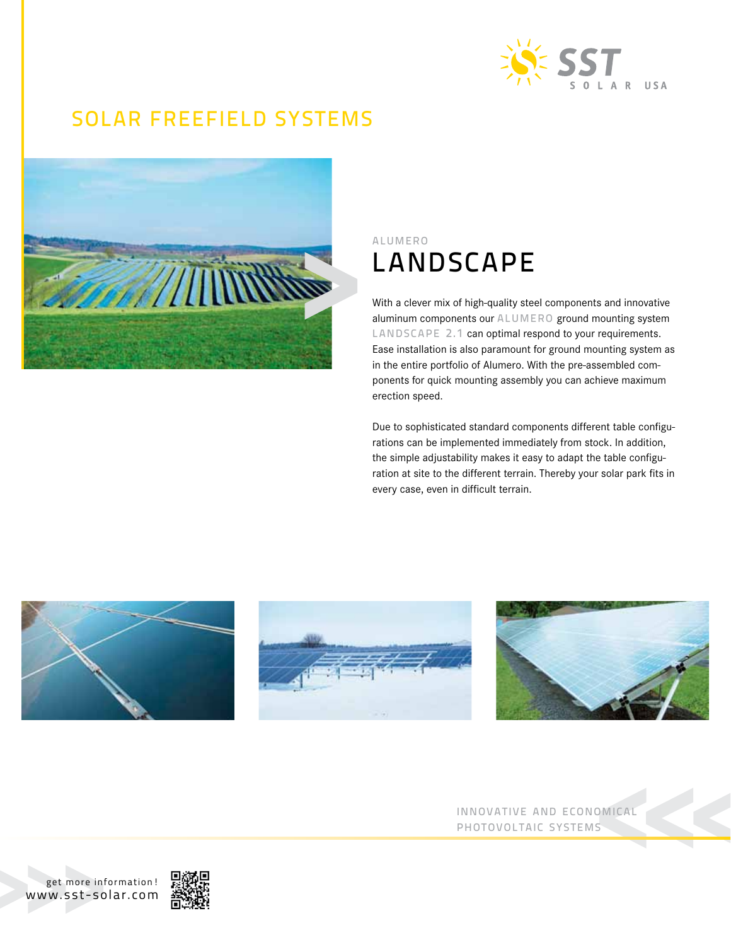

## SOLAR FREEFIELD SYSTEMS



## alumero LANDSCAPE

With a clever mix of high-quality steel components and innovative aluminum components our ALUMERO ground mounting system LANDSCAPE 2.1 can optimal respond to your requirements. Ease installation is also paramount for ground mounting system as in the entire portfolio of Alumero. With the pre-assembled components for quick mounting assembly you can achieve maximum erection speed.

Due to sophisticated standard components different table configurations can be implemented immediately from stock. In addition, the simple adjustability makes it easy to adapt the table configuration at site to the different terrain. Thereby your solar park fits in every case, even in difficult terrain.







innovative and economical photovoltaic systems

get more information! www.sst-solar.com